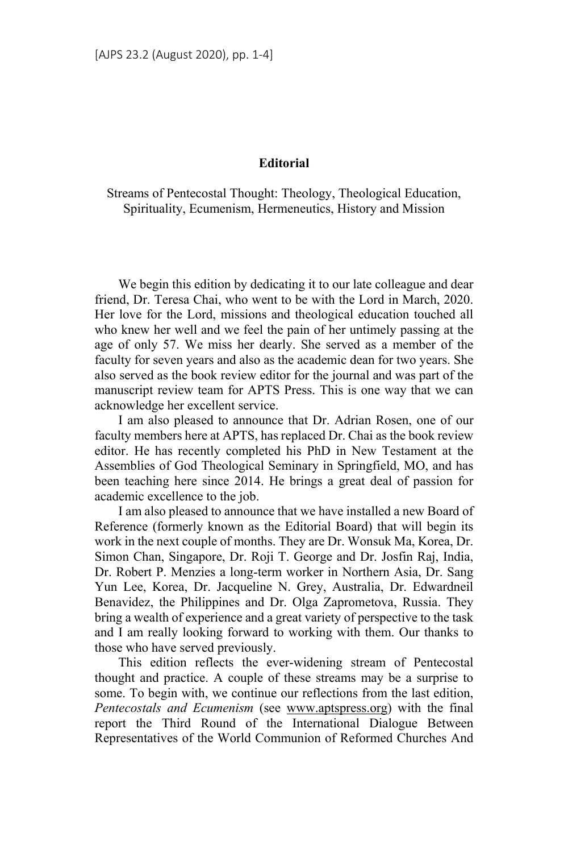## **Editorial**

Streams of Pentecostal Thought: Theology, Theological Education, Spirituality, Ecumenism, Hermeneutics, History and Mission

We begin this edition by dedicating it to our late colleague and dear friend, Dr. Teresa Chai, who went to be with the Lord in March, 2020. Her love for the Lord, missions and theological education touched all who knew her well and we feel the pain of her untimely passing at the age of only 57. We miss her dearly. She served as a member of the faculty for seven years and also as the academic dean for two years. She also served as the book review editor for the journal and was part of the manuscript review team for APTS Press. This is one way that we can acknowledge her excellent service.

I am also pleased to announce that Dr. Adrian Rosen, one of our faculty members here at APTS, has replaced Dr. Chai as the book review editor. He has recently completed his PhD in New Testament at the Assemblies of God Theological Seminary in Springfield, MO, and has been teaching here since 2014. He brings a great deal of passion for academic excellence to the job.

I am also pleased to announce that we have installed a new Board of Reference (formerly known as the Editorial Board) that will begin its work in the next couple of months. They are Dr. Wonsuk Ma, Korea, Dr. Simon Chan, Singapore, Dr. Roji T. George and Dr. Josfin Raj, India, Dr. Robert P. Menzies a long-term worker in Northern Asia, Dr. Sang Yun Lee, Korea, Dr. Jacqueline N. Grey, Australia, Dr. Edwardneil Benavidez, the Philippines and Dr. Olga Zaprometova, Russia. They bring a wealth of experience and a great variety of perspective to the task and I am really looking forward to working with them. Our thanks to those who have served previously.

This edition reflects the ever-widening stream of Pentecostal thought and practice. A couple of these streams may be a surprise to some. To begin with, we continue our reflections from the last edition, *Pentecostals and Ecumenism* (see www.aptspress.org) with the final report the Third Round of the International Dialogue Between Representatives of the World Communion of Reformed Churches And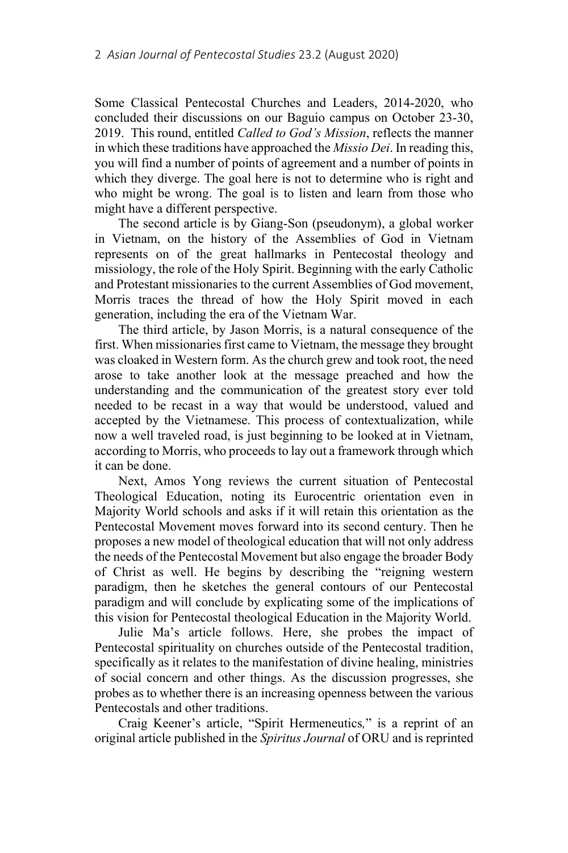Some Classical Pentecostal Churches and Leaders, 2014-2020, who concluded their discussions on our Baguio campus on October 23-30, 2019. This round, entitled *Called to God's Mission*, reflects the manner in which these traditions have approached the *Missio Dei*. In reading this, you will find a number of points of agreement and a number of points in which they diverge. The goal here is not to determine who is right and who might be wrong. The goal is to listen and learn from those who might have a different perspective.

The second article is by Giang-Son (pseudonym), a global worker in Vietnam, on the history of the Assemblies of God in Vietnam represents on of the great hallmarks in Pentecostal theology and missiology, the role of the Holy Spirit. Beginning with the early Catholic and Protestant missionaries to the current Assemblies of God movement, Morris traces the thread of how the Holy Spirit moved in each generation, including the era of the Vietnam War.

The third article, by Jason Morris, is a natural consequence of the first. When missionaries first came to Vietnam, the message they brought was cloaked in Western form. As the church grew and took root, the need arose to take another look at the message preached and how the understanding and the communication of the greatest story ever told needed to be recast in a way that would be understood, valued and accepted by the Vietnamese. This process of contextualization, while now a well traveled road, is just beginning to be looked at in Vietnam, according to Morris, who proceeds to lay out a framework through which it can be done.

Next, Amos Yong reviews the current situation of Pentecostal Theological Education, noting its Eurocentric orientation even in Majority World schools and asks if it will retain this orientation as the Pentecostal Movement moves forward into its second century. Then he proposes a new model of theological education that will not only address the needs of the Pentecostal Movement but also engage the broader Body of Christ as well. He begins by describing the "reigning western paradigm, then he sketches the general contours of our Pentecostal paradigm and will conclude by explicating some of the implications of this vision for Pentecostal theological Education in the Majority World.

Julie Ma's article follows. Here, she probes the impact of Pentecostal spirituality on churches outside of the Pentecostal tradition, specifically as it relates to the manifestation of divine healing, ministries of social concern and other things. As the discussion progresses, she probes as to whether there is an increasing openness between the various Pentecostals and other traditions.

Craig Keener's article, "Spirit Hermeneutics*,*" is a reprint of an original article published in the *Spiritus Journal* of ORU and is reprinted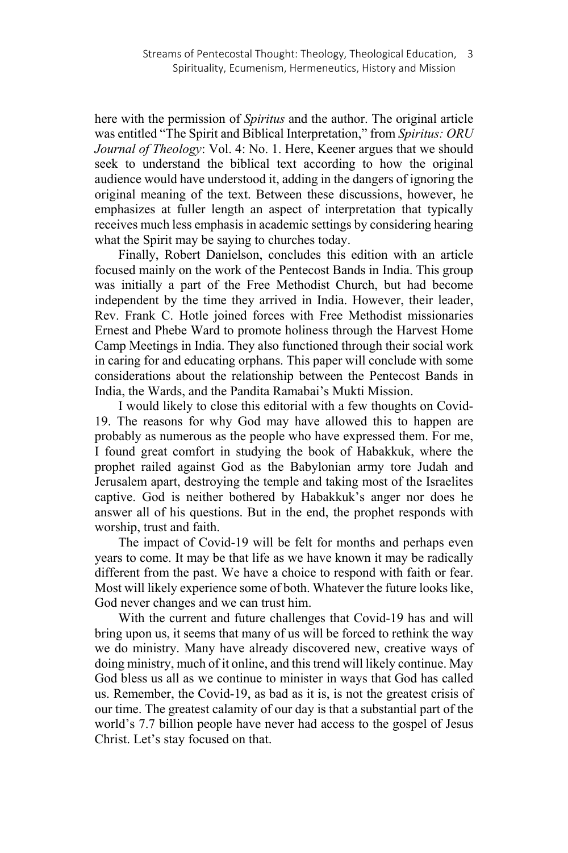here with the permission of *Spiritus* and the author. The original article was entitled "The Spirit and Biblical Interpretation," from *Spiritus: ORU Journal of Theology*: Vol. 4: No. 1. Here, Keener argues that we should seek to understand the biblical text according to how the original audience would have understood it, adding in the dangers of ignoring the original meaning of the text. Between these discussions, however, he emphasizes at fuller length an aspect of interpretation that typically receives much less emphasis in academic settings by considering hearing what the Spirit may be saying to churches today.

Finally, Robert Danielson, concludes this edition with an article focused mainly on the work of the Pentecost Bands in India. This group was initially a part of the Free Methodist Church, but had become independent by the time they arrived in India. However, their leader, Rev. Frank C. Hotle joined forces with Free Methodist missionaries Ernest and Phebe Ward to promote holiness through the Harvest Home Camp Meetings in India. They also functioned through their social work in caring for and educating orphans. This paper will conclude with some considerations about the relationship between the Pentecost Bands in India, the Wards, and the Pandita Ramabai's Mukti Mission.

I would likely to close this editorial with a few thoughts on Covid-19. The reasons for why God may have allowed this to happen are probably as numerous as the people who have expressed them. For me, I found great comfort in studying the book of Habakkuk, where the prophet railed against God as the Babylonian army tore Judah and Jerusalem apart, destroying the temple and taking most of the Israelites captive. God is neither bothered by Habakkuk's anger nor does he answer all of his questions. But in the end, the prophet responds with worship, trust and faith.

The impact of Covid-19 will be felt for months and perhaps even years to come. It may be that life as we have known it may be radically different from the past. We have a choice to respond with faith or fear. Most will likely experience some of both. Whatever the future looks like, God never changes and we can trust him.

With the current and future challenges that Covid-19 has and will bring upon us, it seems that many of us will be forced to rethink the way we do ministry. Many have already discovered new, creative ways of doing ministry, much of it online, and this trend will likely continue. May God bless us all as we continue to minister in ways that God has called us. Remember, the Covid-19, as bad as it is, is not the greatest crisis of our time. The greatest calamity of our day is that a substantial part of the world's 7.7 billion people have never had access to the gospel of Jesus Christ. Let's stay focused on that.